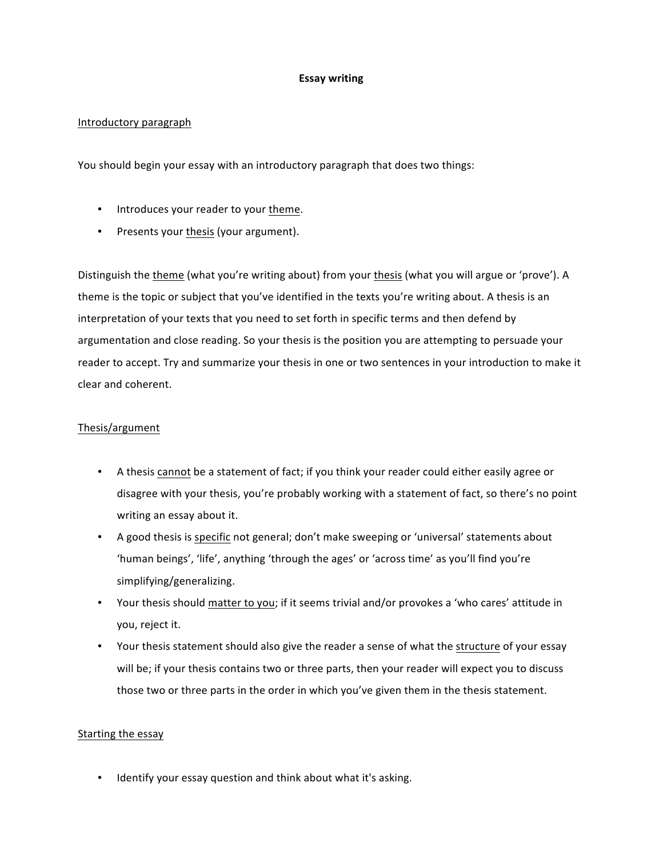## **Essay writing**

# Introductory paragraph

You should begin your essay with an introductory paragraph that does two things:

- Introduces your reader to your theme.
- Presents your thesis (your argument).

Distinguish the theme (what you're writing about) from your thesis (what you will argue or 'prove'). A theme is the topic or subject that you've identified in the texts you're writing about. A thesis is an interpretation of your texts that you need to set forth in specific terms and then defend by argumentation and close reading. So your thesis is the position you are attempting to persuade your reader to accept. Try and summarize your thesis in one or two sentences in your introduction to make it clear and coherent.

## Thesis/argument

- A thesis cannot be a statement of fact; if you think your reader could either easily agree or disagree with your thesis, you're probably working with a statement of fact, so there's no point writing an essay about it.
- A good thesis is specific not general; don't make sweeping or 'universal' statements about 'human beings', 'life', anything 'through the ages' or 'across time' as you'll find you're simplifying/generalizing.
- Your thesis should matter to you; if it seems trivial and/or provokes a 'who cares' attitude in you, reject it.
- Your thesis statement should also give the reader a sense of what the structure of your essay will be; if your thesis contains two or three parts, then your reader will expect you to discuss those two or three parts in the order in which you've given them in the thesis statement.

#### Starting the essay

• Identify your essay question and think about what it's asking.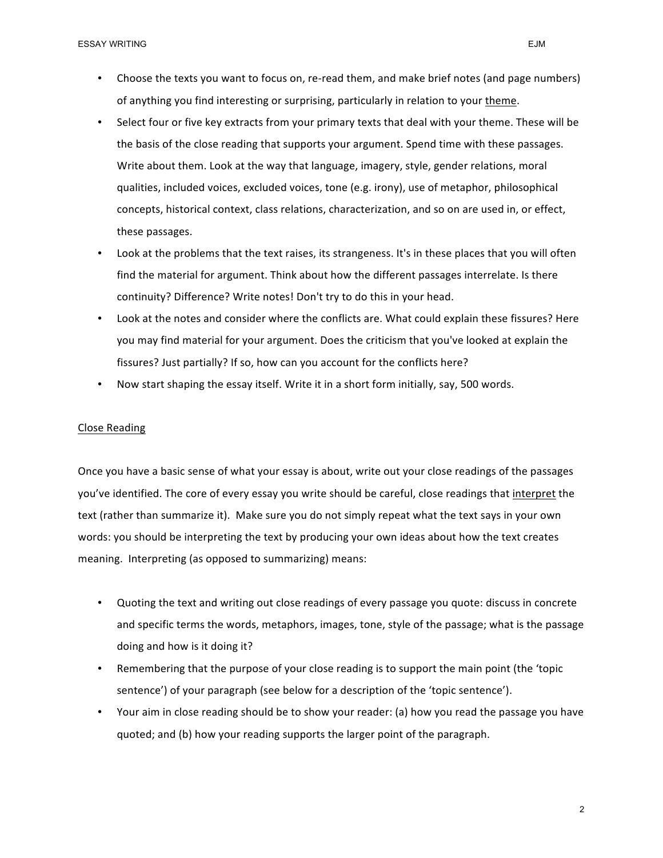- Select four or five key extracts from your primary texts that deal with your theme. These will be the basis of the close reading that supports your argument. Spend time with these passages. Write about them. Look at the way that language, imagery, style, gender relations, moral qualities, included voices, excluded voices, tone (e.g. irony), use of metaphor, philosophical concepts, historical context, class relations, characterization, and so on are used in, or effect, these passages.
- Look at the problems that the text raises, its strangeness. It's in these places that you will often find the material for argument. Think about how the different passages interrelate. Is there continuity? Difference? Write notes! Don't try to do this in your head.
- Look at the notes and consider where the conflicts are. What could explain these fissures? Here you may find material for your argument. Does the criticism that you've looked at explain the fissures? Just partially? If so, how can you account for the conflicts here?
- Now start shaping the essay itself. Write it in a short form initially, say, 500 words.

#### Close Reading

Once you have a basic sense of what your essay is about, write out your close readings of the passages you've identified. The core of every essay you write should be careful, close readings that interpret the text (rather than summarize it). Make sure you do not simply repeat what the text says in your own words: you should be interpreting the text by producing your own ideas about how the text creates meaning. Interpreting (as opposed to summarizing) means:

- Quoting the text and writing out close readings of every passage you quote: discuss in concrete and specific terms the words, metaphors, images, tone, style of the passage; what is the passage doing and how is it doing it?
- Remembering that the purpose of your close reading is to support the main point (the 'topic sentence') of your paragraph (see below for a description of the 'topic sentence').
- Your aim in close reading should be to show your reader: (a) how you read the passage you have quoted; and (b) how your reading supports the larger point of the paragraph.

2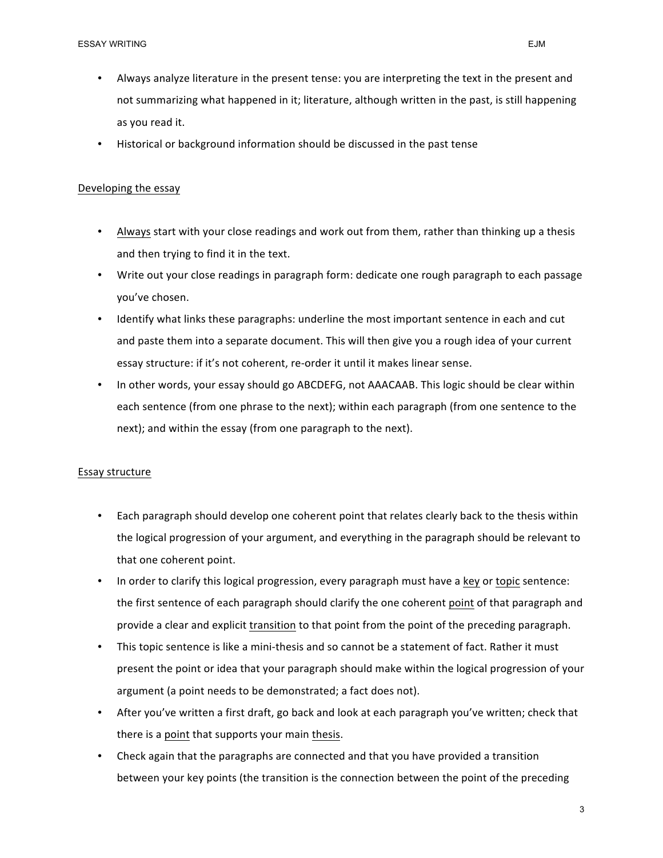- Always analyze literature in the present tense: you are interpreting the text in the present and not summarizing what happened in it; literature, although written in the past, is still happening as you read it.
- Historical or background information should be discussed in the past tense

### Developing the essay

- Always start with your close readings and work out from them, rather than thinking up a thesis and then trying to find it in the text.
- Write out your close readings in paragraph form: dedicate one rough paragraph to each passage you've chosen.
- Identify what links these paragraphs: underline the most important sentence in each and cut and paste them into a separate document. This will then give you a rough idea of your current essay structure: if it's not coherent, re-order it until it makes linear sense.
- In other words, your essay should go ABCDEFG, not AAACAAB. This logic should be clear within each sentence (from one phrase to the next); within each paragraph (from one sentence to the next); and within the essay (from one paragraph to the next).

#### Essay structure

- Each paragraph should develop one coherent point that relates clearly back to the thesis within the logical progression of your argument, and everything in the paragraph should be relevant to that one coherent point.
- In order to clarify this logical progression, every paragraph must have a key or topic sentence: the first sentence of each paragraph should clarify the one coherent point of that paragraph and provide a clear and explicit transition to that point from the point of the preceding paragraph.
- This topic sentence is like a mini-thesis and so cannot be a statement of fact. Rather it must present the point or idea that your paragraph should make within the logical progression of your argument (a point needs to be demonstrated; a fact does not).
- After you've written a first draft, go back and look at each paragraph you've written; check that there is a point that supports your main thesis.
- Check again that the paragraphs are connected and that you have provided a transition between your key points (the transition is the connection between the point of the preceding